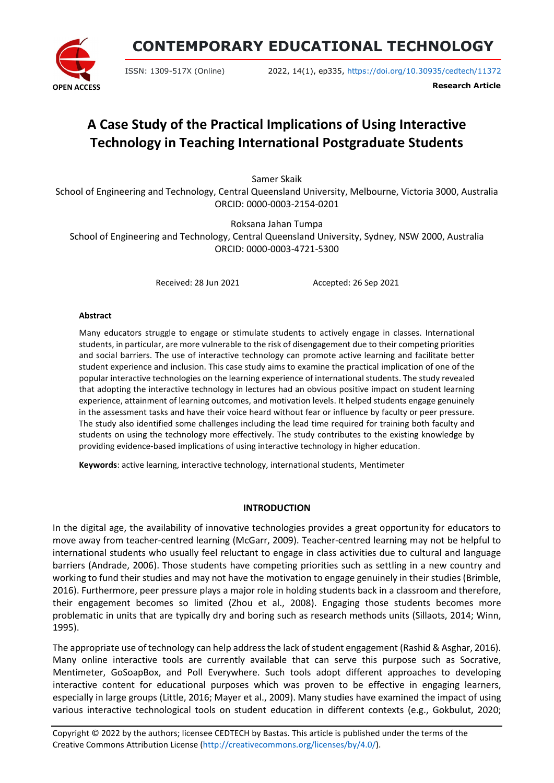

# **CONTEMPORARY EDUCATIONAL TECHNOLOGY**

ISSN: 1309-517X (Online) 2022, 14(1), ep335, <https://doi.org/10.30935/cedtech/11372>

**Research Article**

# **A Case Study of the Practical Implications of Using Interactive Technology in Teaching International Postgraduate Students**

Samer Skaik

School of Engineering and Technology, Central Queensland University, Melbourne, Victoria 3000, Australia ORCID: 0000-0003-2154-0201

Roksana Jahan Tumpa

School of Engineering and Technology, Central Queensland University, Sydney, NSW 2000, Australia ORCID: 0000-0003-4721-5300

Received: 28 Jun 2021 Accepted: 26 Sep 2021

#### **Abstract**

Many educators struggle to engage or stimulate students to actively engage in classes. International students, in particular, are more vulnerable to the risk of disengagement due to their competing priorities and social barriers. The use of interactive technology can promote active learning and facilitate better student experience and inclusion. This case study aims to examine the practical implication of one of the popular interactive technologies on the learning experience of international students. The study revealed that adopting the interactive technology in lectures had an obvious positive impact on student learning experience, attainment of learning outcomes, and motivation levels. It helped students engage genuinely in the assessment tasks and have their voice heard without fear or influence by faculty or peer pressure. The study also identified some challenges including the lead time required for training both faculty and students on using the technology more effectively. The study contributes to the existing knowledge by providing evidence-based implications of using interactive technology in higher education.

**Keywords**: active learning, interactive technology, international students, Mentimeter

#### **INTRODUCTION**

In the digital age, the availability of innovative technologies provides a great opportunity for educators to move away from teacher-centred learning (McGarr, 2009). Teacher-centred learning may not be helpful to international students who usually feel reluctant to engage in class activities due to cultural and language barriers (Andrade, 2006). Those students have competing priorities such as settling in a new country and working to fund their studies and may not have the motivation to engage genuinely in their studies (Brimble, 2016). Furthermore, peer pressure plays a major role in holding students back in a classroom and therefore, their engagement becomes so limited (Zhou et al., 2008). Engaging those students becomes more problematic in units that are typically dry and boring such as research methods units (Sillaots, 2014; Winn, 1995).

The appropriate use of technology can help address the lack of student engagement (Rashid & Asghar, 2016). Many online interactive tools are currently available that can serve this purpose such as Socrative, Mentimeter, GoSoapBox, and Poll Everywhere. Such tools adopt different approaches to developing interactive content for educational purposes which was proven to be effective in engaging learners, especially in large groups (Little, 2016; Mayer et al., 2009). Many studies have examined the impact of using various interactive technological tools on student education in different contexts (e.g., Gokbulut, 2020;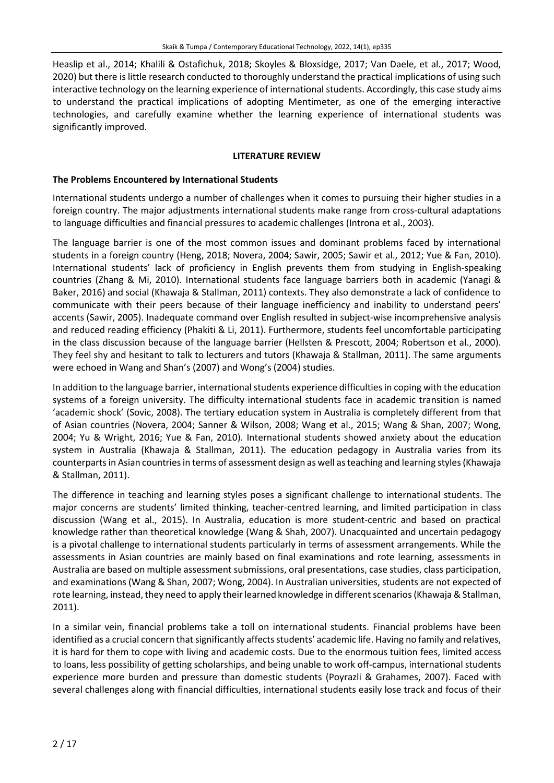Heaslip et al., 2014; Khalili & Ostafichuk, 2018; Skoyles & Bloxsidge, 2017; Van Daele, et al., 2017; Wood, 2020) but there is little research conducted to thoroughly understand the practical implications of using such interactive technology on the learning experience of international students. Accordingly, this case study aims to understand the practical implications of adopting Mentimeter, as one of the emerging interactive technologies, and carefully examine whether the learning experience of international students was significantly improved.

#### **LITERATURE REVIEW**

#### **The Problems Encountered by International Students**

International students undergo a number of challenges when it comes to pursuing their higher studies in a foreign country. The major adjustments international students make range from cross-cultural adaptations to language difficulties and financial pressures to academic challenges (Introna et al., 2003).

The language barrier is one of the most common issues and dominant problems faced by international students in a foreign country (Heng, 2018; Novera, 2004; Sawir, 2005; Sawir et al., 2012; Yue & Fan, 2010). International students' lack of proficiency in English prevents them from studying in English-speaking countries (Zhang & Mi, 2010). International students face language barriers both in academic (Yanagi & Baker, 2016) and social (Khawaja & Stallman, 2011) contexts. They also demonstrate a lack of confidence to communicate with their peers because of their language inefficiency and inability to understand peers' accents (Sawir, 2005). Inadequate command over English resulted in subject-wise incomprehensive analysis and reduced reading efficiency (Phakiti & Li, 2011). Furthermore, students feel uncomfortable participating in the class discussion because of the language barrier (Hellsten & Prescott, 2004; Robertson et al., 2000). They feel shy and hesitant to talk to lecturers and tutors (Khawaja & Stallman, 2011). The same arguments were echoed in Wang and Shan's (2007) and Wong's (2004) studies.

In addition to the language barrier, international students experience difficulties in coping with the education systems of a foreign university. The difficulty international students face in academic transition is named 'academic shock' (Sovic, 2008). The tertiary education system in Australia is completely different from that of Asian countries (Novera, 2004; Sanner & Wilson, 2008; Wang et al., 2015; Wang & Shan, 2007; Wong, 2004; Yu & Wright, 2016; Yue & Fan, 2010). International students showed anxiety about the education system in Australia (Khawaja & Stallman, 2011). The education pedagogy in Australia varies from its counterparts in Asian countries in terms of assessment design as well as teaching and learning styles (Khawaja & Stallman, 2011).

The difference in teaching and learning styles poses a significant challenge to international students. The major concerns are students' limited thinking, teacher-centred learning, and limited participation in class discussion (Wang et al., 2015). In Australia, education is more student-centric and based on practical knowledge rather than theoretical knowledge (Wang & Shah, 2007). Unacquainted and uncertain pedagogy is a pivotal challenge to international students particularly in terms of assessment arrangements. While the assessments in Asian countries are mainly based on final examinations and rote learning, assessments in Australia are based on multiple assessment submissions, oral presentations, case studies, class participation, and examinations (Wang & Shan, 2007; Wong, 2004). In Australian universities, students are not expected of rote learning, instead, they need to apply their learned knowledge in different scenarios (Khawaja & Stallman, 2011).

In a similar vein, financial problems take a toll on international students. Financial problems have been identified as a crucial concern that significantly affects students' academic life. Having no family and relatives, it is hard for them to cope with living and academic costs. Due to the enormous tuition fees, limited access to loans, less possibility of getting scholarships, and being unable to work off-campus, international students experience more burden and pressure than domestic students (Poyrazli & Grahames, 2007). Faced with several challenges along with financial difficulties, international students easily lose track and focus of their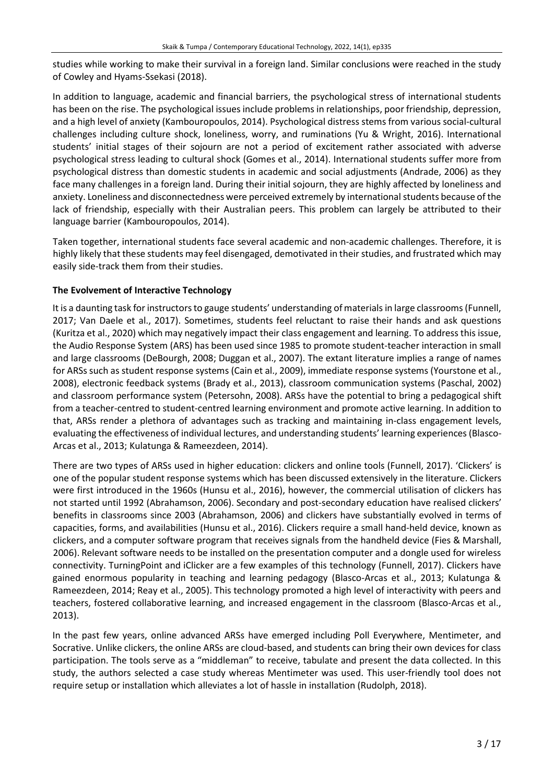studies while working to make their survival in a foreign land. Similar conclusions were reached in the study of Cowley and Hyams-Ssekasi (2018).

In addition to language, academic and financial barriers, the psychological stress of international students has been on the rise. The psychological issues include problems in relationships, poor friendship, depression, and a high level of anxiety (Kambouropoulos, 2014). Psychological distress stems from various social-cultural challenges including culture shock, loneliness, worry, and ruminations (Yu & Wright, 2016). International students' initial stages of their sojourn are not a period of excitement rather associated with adverse psychological stress leading to cultural shock (Gomes et al., 2014). International students suffer more from psychological distress than domestic students in academic and social adjustments (Andrade, 2006) as they face many challenges in a foreign land. During their initial sojourn, they are highly affected by loneliness and anxiety. Loneliness and disconnectedness were perceived extremely by internationalstudents because of the lack of friendship, especially with their Australian peers. This problem can largely be attributed to their language barrier (Kambouropoulos, 2014).

Taken together, international students face several academic and non-academic challenges. Therefore, it is highly likely that these students may feel disengaged, demotivated in their studies, and frustrated which may easily side-track them from their studies.

## **The Evolvement of Interactive Technology**

It is a daunting task forinstructorsto gauge students' understanding of materialsin large classrooms(Funnell, 2017; Van Daele et al., 2017). Sometimes, students feel reluctant to raise their hands and ask questions (Kuritza et al., 2020) which may negatively impact their class engagement and learning. To address this issue, the Audio Response System (ARS) has been used since 1985 to promote student-teacher interaction in small and large classrooms (DeBourgh, 2008; Duggan et al., 2007). The extant literature implies a range of names for ARSs such as student response systems (Cain et al., 2009), immediate response systems (Yourstone et al., 2008), electronic feedback systems (Brady et al., 2013), classroom communication systems (Paschal, 2002) and classroom performance system (Petersohn, 2008). ARSs have the potential to bring a pedagogical shift from a teacher-centred to student-centred learning environment and promote active learning. In addition to that, ARSs render a plethora of advantages such as tracking and maintaining in-class engagement levels, evaluating the effectiveness of individual lectures, and understanding students' learning experiences(Blasco-Arcas et al., 2013; Kulatunga & Rameezdeen, 2014).

There are two types of ARSs used in higher education: clickers and online tools (Funnell, 2017). 'Clickers' is one of the popular student response systems which has been discussed extensively in the literature. Clickers were first introduced in the 1960s (Hunsu et al., 2016), however, the commercial utilisation of clickers has not started until 1992 (Abrahamson, 2006). Secondary and post-secondary education have realised clickers' benefits in classrooms since 2003 (Abrahamson, 2006) and clickers have substantially evolved in terms of capacities, forms, and availabilities (Hunsu et al., 2016). Clickers require a small hand-held device, known as clickers, and a computer software program that receives signals from the handheld device (Fies & Marshall, 2006). Relevant software needs to be installed on the presentation computer and a dongle used for wireless connectivity. TurningPoint and iClicker are a few examples of this technology (Funnell, 2017). Clickers have gained enormous popularity in teaching and learning pedagogy (Blasco-Arcas et al., 2013; Kulatunga & Rameezdeen, 2014; Reay et al., 2005). This technology promoted a high level of interactivity with peers and teachers, fostered collaborative learning, and increased engagement in the classroom (Blasco-Arcas et al., 2013).

In the past few years, online advanced ARSs have emerged including Poll Everywhere, Mentimeter, and Socrative. Unlike clickers, the online ARSs are cloud-based, and students can bring their own devices for class participation. The tools serve as a "middleman" to receive, tabulate and present the data collected. In this study, the authors selected a case study whereas Mentimeter was used. This user-friendly tool does not require setup or installation which alleviates a lot of hassle in installation (Rudolph, 2018).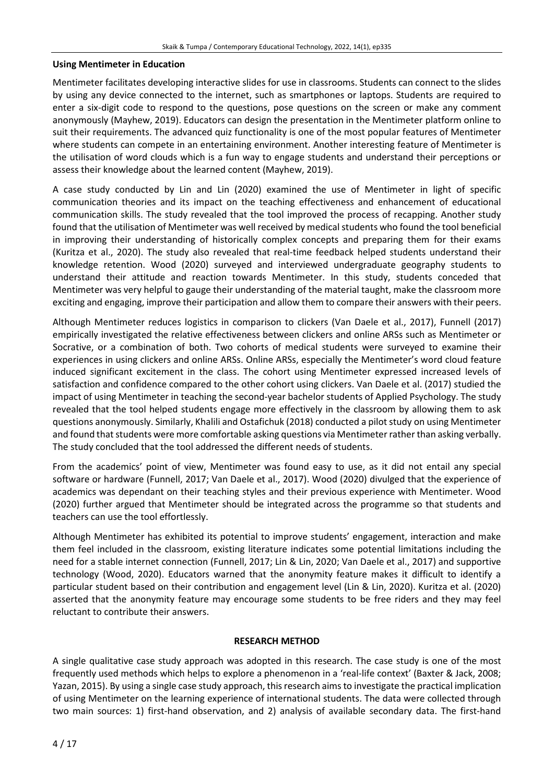#### **Using Mentimeter in Education**

Mentimeter facilitates developing interactive slides for use in classrooms. Students can connect to the slides by using any device connected to the internet, such as smartphones or laptops. Students are required to enter a six-digit code to respond to the questions, pose questions on the screen or make any comment anonymously (Mayhew, 2019). Educators can design the presentation in the Mentimeter platform online to suit their requirements. The advanced quiz functionality is one of the most popular features of Mentimeter where students can compete in an entertaining environment. Another interesting feature of Mentimeter is the utilisation of word clouds which is a fun way to engage students and understand their perceptions or assess their knowledge about the learned content (Mayhew, 2019).

A case study conducted by Lin and Lin (2020) examined the use of Mentimeter in light of specific communication theories and its impact on the teaching effectiveness and enhancement of educational communication skills. The study revealed that the tool improved the process of recapping. Another study found that the utilisation of Mentimeter was well received by medicalstudents who found the tool beneficial in improving their understanding of historically complex concepts and preparing them for their exams (Kuritza et al., 2020). The study also revealed that real-time feedback helped students understand their knowledge retention. Wood (2020) surveyed and interviewed undergraduate geography students to understand their attitude and reaction towards Mentimeter. In this study, students conceded that Mentimeter was very helpful to gauge their understanding of the material taught, make the classroom more exciting and engaging, improve their participation and allow them to compare their answers with their peers.

Although Mentimeter reduces logistics in comparison to clickers (Van Daele et al., 2017), Funnell (2017) empirically investigated the relative effectiveness between clickers and online ARSs such as Mentimeter or Socrative, or a combination of both. Two cohorts of medical students were surveyed to examine their experiences in using clickers and online ARSs. Online ARSs, especially the Mentimeter's word cloud feature induced significant excitement in the class. The cohort using Mentimeter expressed increased levels of satisfaction and confidence compared to the other cohort using clickers. Van Daele et al. (2017) studied the impact of using Mentimeter in teaching the second-year bachelor students of Applied Psychology. The study revealed that the tool helped students engage more effectively in the classroom by allowing them to ask questions anonymously. Similarly, Khalili and Ostafichuk (2018) conducted a pilot study on using Mentimeter and found that students were more comfortable asking questions via Mentimeter rather than asking verbally. The study concluded that the tool addressed the different needs of students.

From the academics' point of view, Mentimeter was found easy to use, as it did not entail any special software or hardware (Funnell, 2017; Van Daele et al., 2017). Wood (2020) divulged that the experience of academics was dependant on their teaching styles and their previous experience with Mentimeter. Wood (2020) further argued that Mentimeter should be integrated across the programme so that students and teachers can use the tool effortlessly.

Although Mentimeter has exhibited its potential to improve students' engagement, interaction and make them feel included in the classroom, existing literature indicates some potential limitations including the need for a stable internet connection (Funnell, 2017; Lin & Lin, 2020; Van Daele et al., 2017) and supportive technology (Wood, 2020). Educators warned that the anonymity feature makes it difficult to identify a particular student based on their contribution and engagement level (Lin & Lin, 2020). Kuritza et al. (2020) asserted that the anonymity feature may encourage some students to be free riders and they may feel reluctant to contribute their answers.

#### **RESEARCH METHOD**

A single qualitative case study approach was adopted in this research. The case study is one of the most frequently used methods which helps to explore a phenomenon in a 'real-life context' (Baxter & Jack, 2008; Yazan, 2015). By using a single case study approach, thisresearch aimsto investigate the practical implication of using Mentimeter on the learning experience of international students. The data were collected through two main sources: 1) first-hand observation, and 2) analysis of available secondary data. The first-hand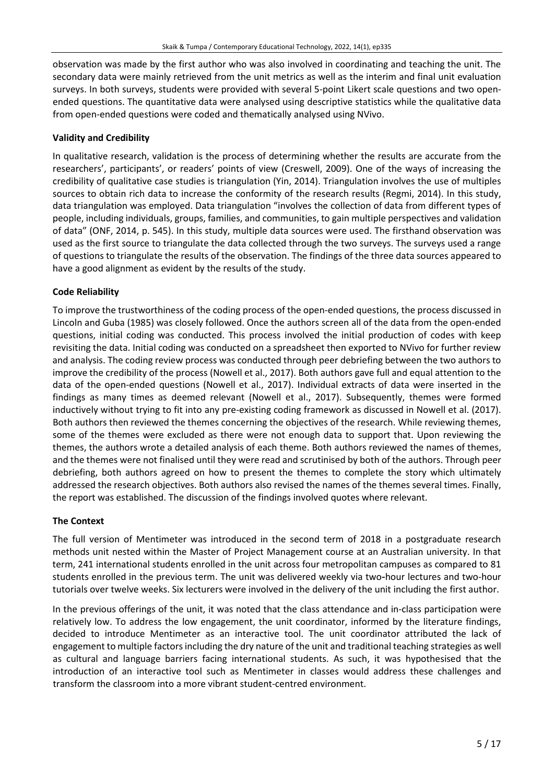observation was made by the first author who was also involved in coordinating and teaching the unit. The secondary data were mainly retrieved from the unit metrics as well as the interim and final unit evaluation surveys. In both surveys, students were provided with several 5-point Likert scale questions and two openended questions. The quantitative data were analysed using descriptive statistics while the qualitative data from open-ended questions were coded and thematically analysed using NVivo.

#### **Validity and Credibility**

In qualitative research, validation is the process of determining whether the results are accurate from the researchers', participants', or readers' points of view (Creswell, 2009). One of the ways of increasing the credibility of qualitative case studies is triangulation (Yin, 2014). Triangulation involves the use of multiples sources to obtain rich data to increase the conformity of the research results (Regmi, 2014). In this study, data triangulation was employed. Data triangulation "involves the collection of data from different types of people, including individuals, groups, families, and communities, to gain multiple perspectives and validation of data" (ONF, 2014, p. 545). In this study, multiple data sources were used. The firsthand observation was used as the first source to triangulate the data collected through the two surveys. The surveys used a range of questions to triangulate the results of the observation. The findings of the three data sources appeared to have a good alignment as evident by the results of the study.

## **Code Reliability**

To improve the trustworthiness of the coding process of the open-ended questions, the process discussed in Lincoln and Guba (1985) was closely followed. Once the authors screen all of the data from the open-ended questions, initial coding was conducted. This process involved the initial production of codes with keep revisiting the data. Initial coding was conducted on a spreadsheet then exported to NVivo for further review and analysis. The coding review process was conducted through peer debriefing between the two authors to improve the credibility of the process (Nowell et al., 2017). Both authors gave full and equal attention to the data of the open-ended questions (Nowell et al., 2017). Individual extracts of data were inserted in the findings as many times as deemed relevant (Nowell et al., 2017). Subsequently, themes were formed inductively without trying to fit into any pre-existing coding framework as discussed in Nowell et al. (2017). Both authors then reviewed the themes concerning the objectives of the research. While reviewing themes, some of the themes were excluded as there were not enough data to support that. Upon reviewing the themes, the authors wrote a detailed analysis of each theme. Both authors reviewed the names of themes, and the themes were not finalised until they were read and scrutinised by both of the authors. Through peer debriefing, both authors agreed on how to present the themes to complete the story which ultimately addressed the research objectives. Both authors also revised the names of the themes several times. Finally, the report was established. The discussion of the findings involved quotes where relevant.

# **The Context**

The full version of Mentimeter was introduced in the second term of 2018 in a postgraduate research methods unit nested within the Master of Project Management course at an Australian university. In that term, 241 international students enrolled in the unit across four metropolitan campuses as compared to 81 students enrolled in the previous term. The unit was delivered weekly via two-hour lectures and two-hour tutorials over twelve weeks. Six lecturers were involved in the delivery of the unit including the first author.

In the previous offerings of the unit, it was noted that the class attendance and in-class participation were relatively low. To address the low engagement, the unit coordinator, informed by the literature findings, decided to introduce Mentimeter as an interactive tool. The unit coordinator attributed the lack of engagement to multiple factorsincluding the dry nature of the unit and traditional teaching strategies as well as cultural and language barriers facing international students. As such, it was hypothesised that the introduction of an interactive tool such as Mentimeter in classes would address these challenges and transform the classroom into a more vibrant student-centred environment.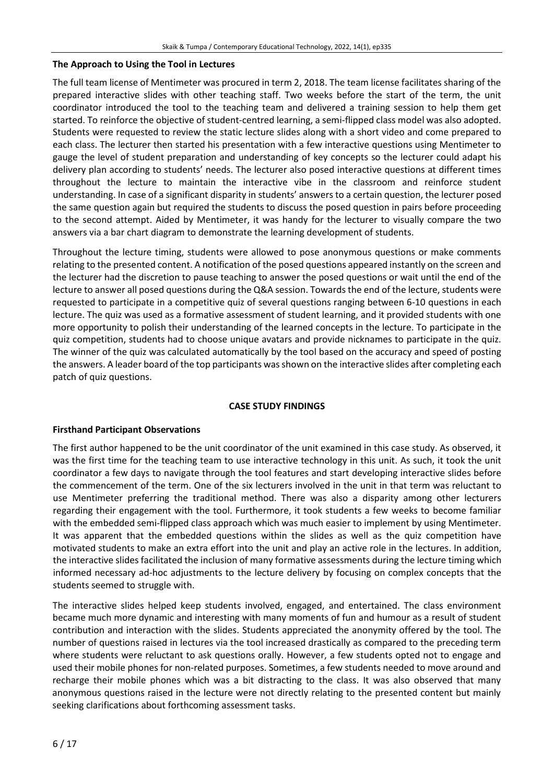#### **The Approach to Using the Tool in Lectures**

The full team license of Mentimeter was procured in term 2, 2018. The team license facilitates sharing of the prepared interactive slides with other teaching staff. Two weeks before the start of the term, the unit coordinator introduced the tool to the teaching team and delivered a training session to help them get started. To reinforce the objective of student-centred learning, a semi-flipped class model was also adopted. Students were requested to review the static lecture slides along with a short video and come prepared to each class. The lecturer then started his presentation with a few interactive questions using Mentimeter to gauge the level of student preparation and understanding of key concepts so the lecturer could adapt his delivery plan according to students' needs. The lecturer also posed interactive questions at different times throughout the lecture to maintain the interactive vibe in the classroom and reinforce student understanding. In case of a significant disparity in students' answers to a certain question, the lecturer posed the same question again but required the students to discuss the posed question in pairs before proceeding to the second attempt. Aided by Mentimeter, it was handy for the lecturer to visually compare the two answers via a bar chart diagram to demonstrate the learning development of students.

Throughout the lecture timing, students were allowed to pose anonymous questions or make comments relating to the presented content. A notification of the posed questions appeared instantly on the screen and the lecturer had the discretion to pause teaching to answer the posed questions or wait until the end of the lecture to answer all posed questions during the Q&A session. Towards the end of the lecture, students were requested to participate in a competitive quiz of several questions ranging between 6-10 questions in each lecture. The quiz was used as a formative assessment of student learning, and it provided students with one more opportunity to polish their understanding of the learned concepts in the lecture. To participate in the quiz competition, students had to choose unique avatars and provide nicknames to participate in the quiz. The winner of the quiz was calculated automatically by the tool based on the accuracy and speed of posting the answers. A leader board of the top participants wasshown on the interactive slides after completing each patch of quiz questions.

#### **CASE STUDY FINDINGS**

#### **Firsthand Participant Observations**

The first author happened to be the unit coordinator of the unit examined in this case study. As observed, it was the first time for the teaching team to use interactive technology in this unit. As such, it took the unit coordinator a few days to navigate through the tool features and start developing interactive slides before the commencement of the term. One of the six lecturers involved in the unit in that term was reluctant to use Mentimeter preferring the traditional method. There was also a disparity among other lecturers regarding their engagement with the tool. Furthermore, it took students a few weeks to become familiar with the embedded semi-flipped class approach which was much easier to implement by using Mentimeter. It was apparent that the embedded questions within the slides as well as the quiz competition have motivated students to make an extra effort into the unit and play an active role in the lectures. In addition, the interactive slides facilitated the inclusion of many formative assessments during the lecture timing which informed necessary ad-hoc adjustments to the lecture delivery by focusing on complex concepts that the students seemed to struggle with.

The interactive slides helped keep students involved, engaged, and entertained. The class environment became much more dynamic and interesting with many moments of fun and humour as a result of student contribution and interaction with the slides. Students appreciated the anonymity offered by the tool. The number of questions raised in lectures via the tool increased drastically as compared to the preceding term where students were reluctant to ask questions orally. However, a few students opted not to engage and used their mobile phones for non-related purposes. Sometimes, a few students needed to move around and recharge their mobile phones which was a bit distracting to the class. It was also observed that many anonymous questions raised in the lecture were not directly relating to the presented content but mainly seeking clarifications about forthcoming assessment tasks.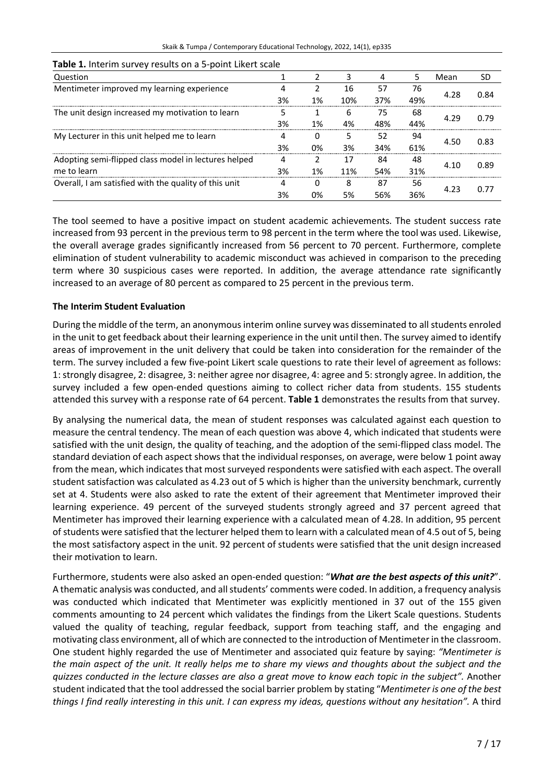| Skaik & Tumpa / Contemporary Educational Technology, 2022, 14(1), ep335 |
|-------------------------------------------------------------------------|
|-------------------------------------------------------------------------|

| Question                                              |    |    |     |     |     | Mean | SD   |
|-------------------------------------------------------|----|----|-----|-----|-----|------|------|
| Mentimeter improved my learning experience            |    |    | 16  | 57  | 76  | 4.28 | በ ጸ4 |
|                                                       | 3% | 1% | 10% | 37% | 49% |      |      |
| The unit design increased my motivation to learn      |    |    | 6   | 75  | 68  | 4.29 | በ 79 |
|                                                       | 3% | 1% | 4%  | 48% | 44% |      |      |
| My Lecturer in this unit helped me to learn           |    |    |     | 52  | 94  | 4.50 | 0.83 |
|                                                       | 3% | 0% | 3%  | 34% | 61% |      |      |
| Adopting semi-flipped class model in lectures helped  |    |    |     | 84  | 48  | 4.10 | በ ጸዓ |
| me to learn                                           | 3% | 1% | 11% | 54% | 31% |      |      |
| Overall, I am satisfied with the quality of this unit |    |    | 8   | 87  | 56  | 4.23 |      |
|                                                       | 3% | 0% | 5%  | 56% | 36% |      |      |

#### **Table 1.** Interim survey results on a 5-point Likert scale

The tool seemed to have a positive impact on student academic achievements. The student success rate increased from 93 percent in the previous term to 98 percent in the term where the tool was used. Likewise, the overall average grades significantly increased from 56 percent to 70 percent. Furthermore, complete elimination of student vulnerability to academic misconduct was achieved in comparison to the preceding term where 30 suspicious cases were reported. In addition, the average attendance rate significantly increased to an average of 80 percent as compared to 25 percent in the previous term.

#### **The Interim Student Evaluation**

During the middle of the term, an anonymous interim online survey was disseminated to all students enroled in the unit to get feedback about their learning experience in the unit until then. The survey aimed to identify areas of improvement in the unit delivery that could be taken into consideration for the remainder of the term. The survey included a few five-point Likert scale questions to rate their level of agreement as follows: 1: strongly disagree, 2: disagree, 3: neither agree nor disagree, 4: agree and 5: strongly agree. In addition, the survey included a few open-ended questions aiming to collect richer data from students. 155 students attended this survey with a response rate of 64 percent. **Table 1** demonstrates the results from that survey.

By analysing the numerical data, the mean of student responses was calculated against each question to measure the central tendency. The mean of each question was above 4, which indicated that students were satisfied with the unit design, the quality of teaching, and the adoption of the semi-flipped class model. The standard deviation of each aspect shows that the individual responses, on average, were below 1 point away from the mean, which indicates that most surveyed respondents were satisfied with each aspect. The overall student satisfaction was calculated as 4.23 out of 5 which is higher than the university benchmark, currently set at 4. Students were also asked to rate the extent of their agreement that Mentimeter improved their learning experience. 49 percent of the surveyed students strongly agreed and 37 percent agreed that Mentimeter has improved their learning experience with a calculated mean of 4.28. In addition, 95 percent ofstudents were satisfied that the lecturer helped them to learn with a calculated mean of 4.5 out of 5, being the most satisfactory aspect in the unit. 92 percent of students were satisfied that the unit design increased their motivation to learn.

Furthermore, students were also asked an open-ended question: "*What are the best aspects of this unit?*". A thematic analysis was conducted, and allstudents' comments were coded. In addition, a frequency analysis was conducted which indicated that Mentimeter was explicitly mentioned in 37 out of the 155 given comments amounting to 24 percent which validates the findings from the Likert Scale questions. Students valued the quality of teaching, regular feedback, support from teaching staff, and the engaging and motivating class environment, all of which are connected to the introduction of Mentimeterin the classroom. One student highly regarded the use of Mentimeter and associated quiz feature by saying: *"Mentimeter is* the main aspect of the unit. It really helps me to share my views and thoughts about the subject and the quizzes conducted in the lecture classes are also a great move to know each topic in the subject". Another student indicated that the tool addressed the social barrier problem by stating "*Mentimeter is one of the best* things I find really interesting in this unit. I can express my ideas, questions without any hesitation". A third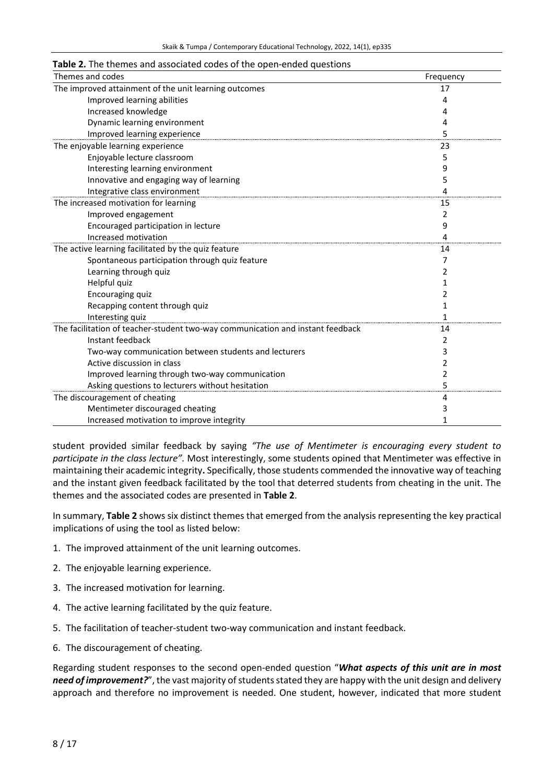#### **Table 2.** The themes and associated codes of the open-ended questions

| Themes and codes                                                               | Frequency    |
|--------------------------------------------------------------------------------|--------------|
| The improved attainment of the unit learning outcomes                          | 17           |
| Improved learning abilities                                                    | 4            |
| Increased knowledge                                                            | 4            |
| Dynamic learning environment                                                   | 4            |
| Improved learning experience                                                   | 5            |
| The enjoyable learning experience                                              | 23           |
| Enjoyable lecture classroom                                                    | 5            |
| Interesting learning environment                                               | 9            |
| Innovative and engaging way of learning                                        | 5            |
| Integrative class environment                                                  | 4            |
| The increased motivation for learning                                          | 15           |
| Improved engagement                                                            | 2            |
| Encouraged participation in lecture                                            | 9            |
| Increased motivation                                                           | 4            |
| The active learning facilitated by the quiz feature                            | 14           |
| Spontaneous participation through quiz feature                                 | 7            |
| Learning through quiz                                                          | 2            |
| Helpful quiz                                                                   | 1            |
| Encouraging quiz                                                               | 2            |
| Recapping content through quiz                                                 |              |
| Interesting quiz                                                               | $\mathbf{1}$ |
| The facilitation of teacher-student two-way communication and instant feedback | 14           |
| Instant feedback                                                               | 2            |
| Two-way communication between students and lecturers                           | 3            |
| Active discussion in class                                                     | 2            |
| Improved learning through two-way communication                                | 2            |
| Asking questions to lecturers without hesitation                               | 5            |
| The discouragement of cheating                                                 | 4            |
| Mentimeter discouraged cheating                                                | 3            |
| Increased motivation to improve integrity                                      | 1            |

student provided similar feedback by saying *"The use of Mentimeter is encouraging every student to participate in the class lecture".* Most interestingly, some students opined that Mentimeter was effective in maintaining their academic integrity**.** Specifically, those students commended the innovative way of teaching and the instant given feedback facilitated by the tool that deterred students from cheating in the unit. The themes and the associated codes are presented in **Table 2**.

In summary, **Table 2** shows six distinct themes that emerged from the analysis representing the key practical implications of using the tool as listed below:

- 1. The improved attainment of the unit learning outcomes.
- 2. The enjoyable learning experience.
- 3. The increased motivation for learning.
- 4. The active learning facilitated by the quiz feature.
- 5. The facilitation of teacher-student two-way communication and instant feedback.
- 6. The discouragement of cheating.

Regarding student responses to the second open-ended question "*What aspects of this unit are in most need of improvement?"*, the vast majority of students stated they are happy with the unit design and delivery approach and therefore no improvement is needed. One student, however, indicated that more student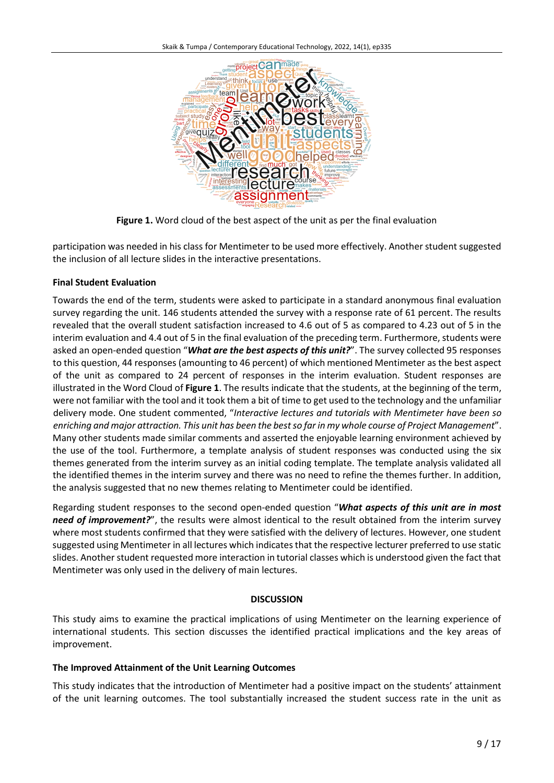

**Figure 1.** Word cloud of the best aspect of the unit as per the final evaluation

participation was needed in his class for Mentimeter to be used more effectively. Another student suggested the inclusion of all lecture slides in the interactive presentations.

# **Final Student Evaluation**

Towards the end of the term, students were asked to participate in a standard anonymous final evaluation survey regarding the unit. 146 students attended the survey with a response rate of 61 percent. The results revealed that the overall student satisfaction increased to 4.6 out of 5 as compared to 4.23 out of 5 in the interim evaluation and 4.4 out of 5 in the final evaluation of the preceding term. Furthermore, students were asked an open-ended question "*What are the best aspects of this unit?*". The survey collected 95 responses to this question, 44 responses (amounting to 46 percent) of which mentioned Mentimeter as the best aspect of the unit as compared to 24 percent of responses in the interim evaluation. Student responses are illustrated in the Word Cloud of **Figure 1**. The results indicate that the students, at the beginning of the term, were not familiar with the tool and it took them a bit of time to get used to the technology and the unfamiliar delivery mode. One student commented, "*Interactive lectures and tutorials with Mentimeter have been so* enriching and major attraction. This unit has been the best so far in my whole course of Project Management". Many other students made similar comments and asserted the enjoyable learning environment achieved by the use of the tool. Furthermore, a template analysis of student responses was conducted using the six themes generated from the interim survey as an initial coding template. The template analysis validated all the identified themes in the interim survey and there was no need to refine the themes further. In addition, the analysis suggested that no new themes relating to Mentimeter could be identified.

Regarding student responses to the second open-ended question "*What aspects of this unit are in most need of improvement?*", the results were almost identical to the result obtained from the interim survey where most students confirmed that they were satisfied with the delivery of lectures. However, one student suggested using Mentimeter in all lectures which indicates that the respective lecturer preferred to use static slides. Another student requested more interaction in tutorial classes which is understood given the fact that Mentimeter was only used in the delivery of main lectures.

#### **DISCUSSION**

This study aims to examine the practical implications of using Mentimeter on the learning experience of international students. This section discusses the identified practical implications and the key areas of improvement.

#### **The Improved Attainment of the Unit Learning Outcomes**

This study indicates that the introduction of Mentimeter had a positive impact on the students' attainment of the unit learning outcomes. The tool substantially increased the student success rate in the unit as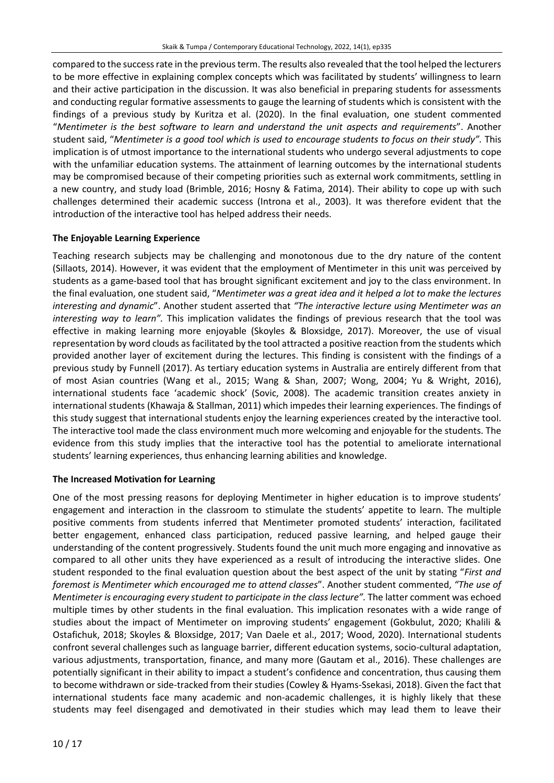compared to the successrate in the previousterm. The results also revealed that the tool helped the lecturers to be more effective in explaining complex concepts which was facilitated by students' willingness to learn and their active participation in the discussion. It was also beneficial in preparing students for assessments and conducting regular formative assessments to gauge the learning of students which is consistent with the findings of a previous study by Kuritza et al. (2020). In the final evaluation, one student commented "*Mentimeter is the best software to learn and understand the unit aspects and requirements*". Another student said, "*Mentimeter is a good tool which is used to encourage students to focus on their study".* This implication is of utmost importance to the international students who undergo several adjustments to cope with the unfamiliar education systems. The attainment of learning outcomes by the international students may be compromised because of their competing priorities such as external work commitments, settling in a new country, and study load (Brimble, 2016; Hosny & Fatima, 2014). Their ability to cope up with such challenges determined their academic success (Introna et al., 2003). It was therefore evident that the introduction of the interactive tool has helped address their needs.

## **The Enjoyable Learning Experience**

Teaching research subjects may be challenging and monotonous due to the dry nature of the content (Sillaots, 2014). However, it was evident that the employment of Mentimeter in this unit was perceived by students as a game-based tool that has brought significant excitement and joy to the class environment. In the final evaluation, one student said, "*Mentimeter was a great idea and it helped a lot to make the lectures interesting and dynamic*". Another student asserted that *"The interactive lecture using Mentimeter was an interesting way to learn".* This implication validates the findings of previous research that the tool was effective in making learning more enjoyable (Skoyles & Bloxsidge, 2017). Moreover, the use of visual representation by word clouds as facilitated by the tool attracted a positive reaction from the students which provided another layer of excitement during the lectures. This finding is consistent with the findings of a previous study by Funnell (2017). As tertiary education systems in Australia are entirely different from that of most Asian countries (Wang et al., 2015; Wang & Shan, 2007; Wong, 2004; Yu & Wright, 2016), international students face 'academic shock' (Sovic, 2008). The academic transition creates anxiety in international students (Khawaja & Stallman, 2011) which impedes their learning experiences. The findings of this study suggest that international students enjoy the learning experiences created by the interactive tool. The interactive tool made the class environment much more welcoming and enjoyable for the students. The evidence from this study implies that the interactive tool has the potential to ameliorate international students' learning experiences, thus enhancing learning abilities and knowledge.

#### **The Increased Motivation for Learning**

One of the most pressing reasons for deploying Mentimeter in higher education is to improve students' engagement and interaction in the classroom to stimulate the students' appetite to learn. The multiple positive comments from students inferred that Mentimeter promoted students' interaction, facilitated better engagement, enhanced class participation, reduced passive learning, and helped gauge their understanding of the content progressively. Students found the unit much more engaging and innovative as compared to all other units they have experienced as a result of introducing the interactive slides. One student responded to the final evaluation question about the best aspect of the unit by stating "*First and foremost is Mentimeter which encouraged me to attend classes*". Another student commented, *"The use of Mentimeter is encouraging every student to participate in the class lecture".* The latter comment was echoed multiple times by other students in the final evaluation. This implication resonates with a wide range of studies about the impact of Mentimeter on improving students' engagement (Gokbulut, 2020; Khalili & Ostafichuk, 2018; Skoyles & Bloxsidge, 2017; Van Daele et al., 2017; Wood, 2020). International students confront several challenges such as language barrier, different education systems, socio-cultural adaptation, various adjustments, transportation, finance, and many more (Gautam et al., 2016). These challenges are potentially significant in their ability to impact a student's confidence and concentration, thus causing them to become withdrawn or side-tracked from their studies (Cowley & Hyams-Ssekasi, 2018). Given the fact that international students face many academic and non-academic challenges, it is highly likely that these students may feel disengaged and demotivated in their studies which may lead them to leave their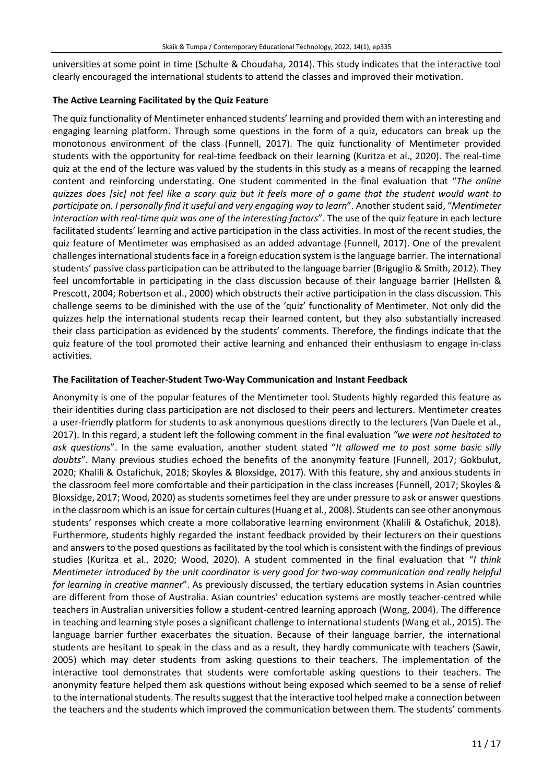universities at some point in time (Schulte & Choudaha, 2014). This study indicates that the interactive tool clearly encouraged the international students to attend the classes and improved their motivation.

## **The Active Learning Facilitated by the Quiz Feature**

The quiz functionality of Mentimeter enhanced students' learning and provided them with an interesting and engaging learning platform. Through some questions in the form of a quiz, educators can break up the monotonous environment of the class (Funnell, 2017). The quiz functionality of Mentimeter provided students with the opportunity for real-time feedback on their learning (Kuritza et al., 2020). The real-time quiz at the end of the lecture was valued by the students in this study as a means of recapping the learned content and reinforcing understating. One student commented in the final evaluation that "*The online* quizzes does [sic] not feel like a scary quiz but it feels more of a game that the student would want to *participate on. I personally find it useful and very engaging way to learn*". Another student said, "*Mentimeter interaction with real-time quiz was one of the interesting factors*". The use of the quiz feature in each lecture facilitated students' learning and active participation in the class activities. In most of the recent studies, the quiz feature of Mentimeter was emphasised as an added advantage (Funnell, 2017). One of the prevalent challenges international students face in a foreign education system is the language barrier. The international students' passive class participation can be attributed to the language barrier (Briguglio & Smith, 2012). They feel uncomfortable in participating in the class discussion because of their language barrier (Hellsten & Prescott, 2004; Robertson et al., 2000) which obstructs their active participation in the class discussion. This challenge seems to be diminished with the use of the 'quiz' functionality of Mentimeter. Not only did the quizzes help the international students recap their learned content, but they also substantially increased their class participation as evidenced by the students' comments. Therefore, the findings indicate that the quiz feature of the tool promoted their active learning and enhanced their enthusiasm to engage in-class activities.

## **The Facilitation of Teacher-Student Two-Way Communication and Instant Feedback**

Anonymity is one of the popular features of the Mentimeter tool. Students highly regarded this feature as their identities during class participation are not disclosed to their peers and lecturers. Mentimeter creates a user-friendly platform for students to ask anonymous questions directly to the lecturers (Van Daele et al., 2017). In this regard, a student left the following comment in the final evaluation *"we were not hesitated to ask questions*". In the same evaluation, another student stated "*It allowed me to post some basic silly doubts*". Many previous studies echoed the benefits of the anonymity feature (Funnell, 2017; Gokbulut, 2020; Khalili & Ostafichuk, 2018; Skoyles & Bloxsidge, 2017). With this feature, shy and anxious students in the classroom feel more comfortable and their participation in the class increases (Funnell, 2017; Skoyles & Bloxsidge, 2017; Wood, 2020) as students sometimes feel they are under pressure to ask or answer questions in the classroom which is an issue for certain cultures(Huang et al., 2008). Students can see other anonymous students' responses which create a more collaborative learning environment (Khalili & Ostafichuk, 2018). Furthermore, students highly regarded the instant feedback provided by their lecturers on their questions and answersto the posed questions as facilitated by the tool which is consistent with the findings of previous studies (Kuritza et al., 2020; Wood, 2020). A student commented in the final evaluation that "*I think Mentimeter introduced by the unit coordinator is very good for two-way communication and really helpful for learning in creative manner*". As previously discussed, the tertiary education systems in Asian countries are different from those of Australia. Asian countries' education systems are mostly teacher-centred while teachers in Australian universities follow a student-centred learning approach (Wong, 2004). The difference in teaching and learning style poses a significant challenge to international students (Wang et al., 2015). The language barrier further exacerbates the situation. Because of their language barrier, the international students are hesitant to speak in the class and as a result, they hardly communicate with teachers (Sawir, 2005) which may deter students from asking questions to their teachers. The implementation of the interactive tool demonstrates that students were comfortable asking questions to their teachers. The anonymity feature helped them ask questions without being exposed which seemed to be a sense of relief to the international students. The results suggest that the interactive tool helped make a connection between the teachers and the students which improved the communication between them. The students' comments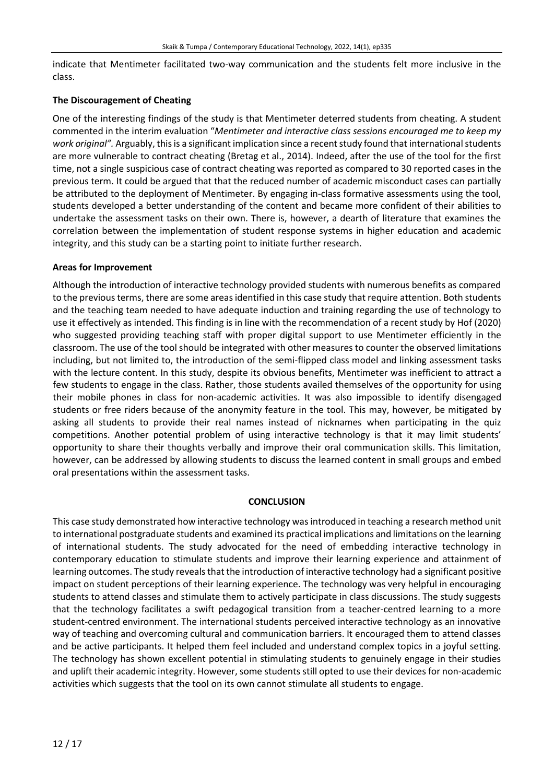indicate that Mentimeter facilitated two-way communication and the students felt more inclusive in the class.

#### **The Discouragement of Cheating**

One of the interesting findings of the study is that Mentimeter deterred students from cheating. A student commented in the interim evaluation "*Mentimeter and interactive class sessions encouraged me to keep my work original"*. Arguably, this is a significant implication since a recent study found that international students are more vulnerable to contract cheating (Bretag et al., 2014). Indeed, after the use of the tool for the first time, not a single suspicious case of contract cheating was reported as compared to 30 reported cases in the previous term. It could be argued that that the reduced number of academic misconduct cases can partially be attributed to the deployment of Mentimeter. By engaging in-class formative assessments using the tool, students developed a better understanding of the content and became more confident of their abilities to undertake the assessment tasks on their own. There is, however, a dearth of literature that examines the correlation between the implementation of student response systems in higher education and academic integrity, and this study can be a starting point to initiate further research.

## **Areas for Improvement**

Although the introduction of interactive technology provided students with numerous benefits as compared to the previousterms, there are some areasidentified in this case study that require attention. Both students and the teaching team needed to have adequate induction and training regarding the use of technology to use it effectively as intended. This finding is in line with the recommendation of a recent study by Hof (2020) who suggested providing teaching staff with proper digital support to use Mentimeter efficiently in the classroom. The use of the tool should be integrated with other measures to counter the observed limitations including, but not limited to, the introduction of the semi-flipped class model and linking assessment tasks with the lecture content. In this study, despite its obvious benefits, Mentimeter was inefficient to attract a few students to engage in the class. Rather, those students availed themselves of the opportunity for using their mobile phones in class for non-academic activities. It was also impossible to identify disengaged students or free riders because of the anonymity feature in the tool. This may, however, be mitigated by asking all students to provide their real names instead of nicknames when participating in the quiz competitions. Another potential problem of using interactive technology is that it may limit students' opportunity to share their thoughts verbally and improve their oral communication skills. This limitation, however, can be addressed by allowing students to discuss the learned content in small groups and embed oral presentations within the assessment tasks.

#### **CONCLUSION**

This case study demonstrated how interactive technology wasintroduced in teaching a research method unit to international postgraduate students and examined its practical implications and limitations on the learning of international students. The study advocated for the need of embedding interactive technology in contemporary education to stimulate students and improve their learning experience and attainment of learning outcomes. The study reveals that the introduction of interactive technology had a significant positive impact on student perceptions of their learning experience. The technology was very helpful in encouraging students to attend classes and stimulate them to actively participate in class discussions. The study suggests that the technology facilitates a swift pedagogical transition from a teacher-centred learning to a more student-centred environment. The international students perceived interactive technology as an innovative way of teaching and overcoming cultural and communication barriers. It encouraged them to attend classes and be active participants. It helped them feel included and understand complex topics in a joyful setting. The technology has shown excellent potential in stimulating students to genuinely engage in their studies and uplift their academic integrity. However, some students still opted to use their devices for non-academic activities which suggests that the tool on its own cannot stimulate all students to engage.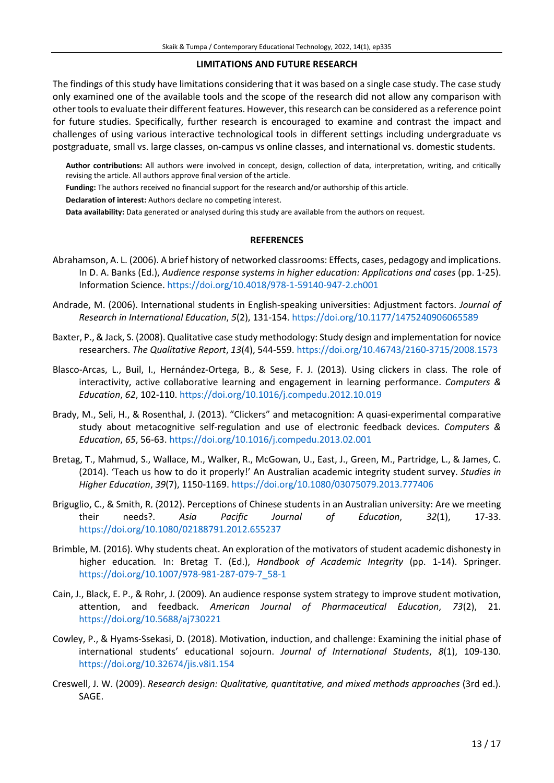#### **LIMITATIONS AND FUTURE RESEARCH**

The findings of this study have limitations considering that it was based on a single case study. The case study only examined one of the available tools and the scope of the research did not allow any comparison with othertoolsto evaluate their different features. However, thisresearch can be considered as a reference point for future studies. Specifically, further research is encouraged to examine and contrast the impact and challenges of using various interactive technological tools in different settings including undergraduate vs postgraduate, small vs. large classes, on-campus vs online classes, and international vs. domestic students.

**Author contributions:** All authors were involved in concept, design, collection of data, interpretation, writing, and critically revising the article. All authors approve final version of the article.

**Funding:** The authors received no financial support for the research and/or authorship of this article.

**Declaration of interest:** Authors declare no competing interest.

**Data availability:** Data generated or analysed during this study are available from the authors on request.

#### **REFERENCES**

- Abrahamson, A. L. (2006). A brief history of networked classrooms: Effects, cases, pedagogy and implications. In D. A. Banks (Ed.), *Audience response systems in higher education: Applications and cases* (pp. 1-25). Information Science. <https://doi.org/10.4018/978-1-59140-947-2.ch001>
- Andrade, M. (2006). International students in English-speaking universities: Adjustment factors. *Journal of Research in International Education*, *5*(2), 131-154. <https://doi.org/10.1177/1475240906065589>
- Baxter, P., & Jack, S. (2008). Qualitative case study methodology: Study design and implementation for novice researchers. *The Qualitative Report*, *13*(4), 544-559. <https://doi.org/10.46743/2160-3715/2008.1573>
- Blasco-Arcas, L., Buil, I., Hernández-Ortega, B., & Sese, F. J. (2013). Using clickers in class. The role of interactivity, active collaborative learning and engagement in learning performance. *Computers & Education*, *62*, 102-110. <https://doi.org/10.1016/j.compedu.2012.10.019>
- Brady, M., Seli, H., & Rosenthal, J. (2013). "Clickers" and metacognition: A quasi-experimental comparative study about metacognitive self-regulation and use of electronic feedback devices. *Computers & Education*, *65*, 56-63. <https://doi.org/10.1016/j.compedu.2013.02.001>
- Bretag, T., Mahmud, S., Wallace, M., Walker, R., McGowan, U., East, J., Green, M., Partridge, L., & James, C. (2014). 'Teach us how to do it properly!' An Australian academic integrity student survey. *Studies in Higher Education*, *39*(7), 1150-1169. <https://doi.org/10.1080/03075079.2013.777406>
- Briguglio, C., & Smith, R. (2012). Perceptions of Chinese students in an Australian university: Are we meeting their needs?. *Asia Pacific Journal of Education*, *32*(1), 17-33. <https://doi.org/10.1080/02188791.2012.655237>
- Brimble, M. (2016). Why students cheat. An exploration of the motivators of student academic dishonesty in higher education*.* In: Bretag T. (Ed.), *Handbook of Academic Integrity* (pp. 1-14). Springer. [https://doi.org/10.1007/978-981-287-079-7\\_58-1](https://doi.org/10.1007/978-981-287-079-7_58-1)
- Cain, J., Black, E. P., & Rohr, J. (2009). An audience response system strategy to improve student motivation, attention, and feedback. *American Journal of Pharmaceutical Education*, *73*(2), 21. <https://doi.org/10.5688/aj730221>
- Cowley, P., & Hyams-Ssekasi, D. (2018). Motivation, induction, and challenge: Examining the initial phase of international students' educational sojourn. *Journal of International Students*, *8*(1), 109-130. <https://doi.org/10.32674/jis.v8i1.154>
- Creswell, J. W. (2009). *Research design: Qualitative, quantitative, and mixed methods approaches* (3rd ed.). SAGE.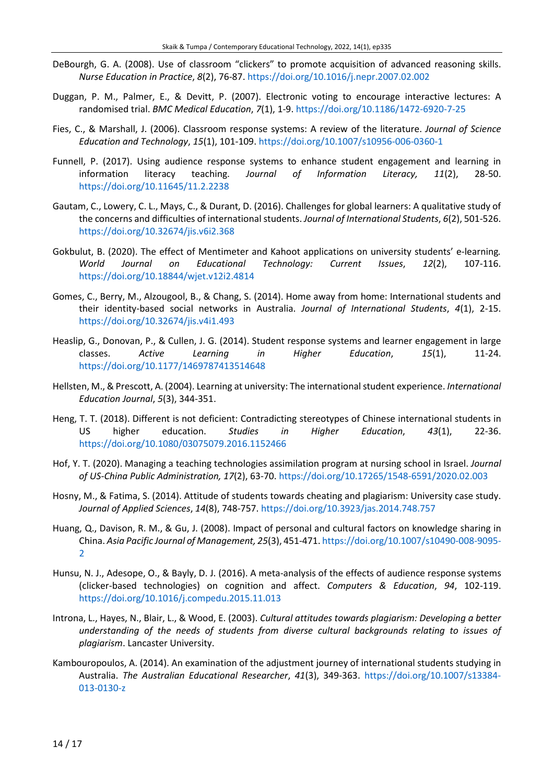- DeBourgh, G. A. (2008). Use of classroom "clickers" to promote acquisition of advanced reasoning skills. *Nurse Education in Practice*, *8*(2), 76-87. <https://doi.org/10.1016/j.nepr.2007.02.002>
- Duggan, P. M., Palmer, E., & Devitt, P. (2007). Electronic voting to encourage interactive lectures: A randomised trial. *BMC Medical Education*, *7*(1), 1-9. <https://doi.org/10.1186/1472-6920-7-25>
- Fies, C., & Marshall, J. (2006). Classroom response systems: A review of the literature. *Journal of Science Education and Technology*, *15*(1), 101-109. <https://doi.org/10.1007/s10956-006-0360-1>
- Funnell, P. (2017). Using audience response systems to enhance student engagement and learning in information literacy teaching. *Journal of Information Literacy, 11*(2), 28-50. <https://doi.org/10.11645/11.2.2238>
- Gautam, C., Lowery, C. L., Mays, C., & Durant, D. (2016). Challenges for global learners: A qualitative study of the concerns and difficulties of internationalstudents. *Journal of International Students*, *6*(2), 501-526. <https://doi.org/10.32674/jis.v6i2.368>
- Gokbulut, B. (2020). The effect of Mentimeter and Kahoot applications on university students' e-learning*. World Journal on Educational Technology: Current Issues*, *12*(2), 107-116. <https://doi.org/10.18844/wjet.v12i2.4814>
- Gomes, C., Berry, M., Alzougool, B., & Chang, S. (2014). Home away from home: International students and their identity-based social networks in Australia. *Journal of International Students*, *4*(1), 2-15. <https://doi.org/10.32674/jis.v4i1.493>
- Heaslip, G., Donovan, P., & Cullen, J. G. (2014). Student response systems and learner engagement in large classes. *Active Learning in Higher Education*, *15*(1), 11-24. <https://doi.org/10.1177/1469787413514648>
- Hellsten, M., & Prescott, A. (2004). Learning at university: The internationalstudent experience. *International Education Journal*, *5*(3), 344-351.
- Heng, T. T. (2018). Different is not deficient: Contradicting stereotypes of Chinese international students in US higher education. *Studies in Higher Education*, *43*(1), 22-36. <https://doi.org/10.1080/03075079.2016.1152466>
- Hof, Y. T. (2020). Managing a teaching technologies assimilation program at nursing school in Israel. *Journal of US-China Public Administration, 17*(2), 63-70. <https://doi.org/10.17265/1548-6591/2020.02.003>
- Hosny, M., & Fatima, S. (2014). Attitude of students towards cheating and plagiarism: University case study. *Journal of Applied Sciences*, *14*(8), 748-757. <https://doi.org/10.3923/jas.2014.748.757>
- Huang, Q., Davison, R. M., & Gu, J. (2008). Impact of personal and cultural factors on knowledge sharing in China. *Asia Pacific Journal of Management, 25*(3), 451-471. [https://doi.org/10.1007/s10490-008-9095-](https://doi.org/10.1007/s10490-008-9095-2)  $\overline{\mathbf{c}}$
- Hunsu, N. J., Adesope, O., & Bayly, D. J. (2016). A meta-analysis of the effects of audience response systems (clicker-based technologies) on cognition and affect. *Computers & Education*, *94*, 102-119. <https://doi.org/10.1016/j.compedu.2015.11.013>
- Introna, L., Hayes, N., Blair, L., & Wood, E. (2003). *Cultural attitudes towards plagiarism: Developing a better understanding of the needs of students from diverse cultural backgrounds relating to issues of plagiarism*. Lancaster University.
- Kambouropoulos, A. (2014). An examination of the adjustment journey of international students studying in Australia. *The Australian Educational Researcher*, *41*(3), 349-363. [https://doi.org/10.1007/s13384-](https://doi.org/10.1007/s13384-013-0130-z) [013-0130-z](https://doi.org/10.1007/s13384-013-0130-z)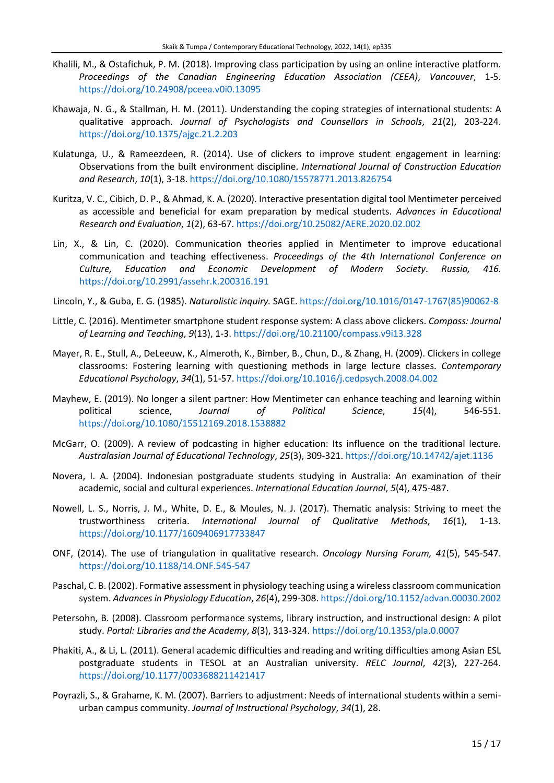- Khalili, M., & Ostafichuk, P. M. (2018). Improving class participation by using an online interactive platform. *Proceedings of the Canadian Engineering Education Association (CEEA)*, *Vancouver*, 1-5. <https://doi.org/10.24908/pceea.v0i0.13095>
- Khawaja, N. G., & Stallman, H. M. (2011). Understanding the coping strategies of international students: A qualitative approach. *Journal of Psychologists and Counsellors in Schools*, *21*(2), 203-224. <https://doi.org/10.1375/ajgc.21.2.203>
- Kulatunga, U., & Rameezdeen, R. (2014). Use of clickers to improve student engagement in learning: Observations from the built environment discipline. *International Journal of Construction Education and Research*, *10*(1), 3-18. <https://doi.org/10.1080/15578771.2013.826754>
- Kuritza, V. C., Cibich, D. P., & Ahmad, K. A. (2020). Interactive presentation digital tool Mentimeter perceived as accessible and beneficial for exam preparation by medical students. *Advances in Educational Research and Evaluation*, *1*(2), 63-67. <https://doi.org/10.25082/AERE.2020.02.002>
- Lin, X., & Lin, C. (2020). Communication theories applied in Mentimeter to improve educational communication and teaching effectiveness. *Proceedings of the 4th International Conference on Culture, Education and Economic Development of Modern Society*. *Russia, 416.* <https://doi.org/10.2991/assehr.k.200316.191>
- Lincoln, Y., & Guba, E. G. (1985). *Naturalistic inquiry.* SAGE. [https://doi.org/10.1016/0147-1767\(85\)90062-8](https://doi.org/10.1016/0147-1767(85)90062-8)
- Little, C. (2016). Mentimeter smartphone student response system: A class above clickers. *Compass: Journal of Learning and Teaching*, *9*(13), 1-3. <https://doi.org/10.21100/compass.v9i13.328>
- Mayer, R. E., Stull, A., DeLeeuw, K., Almeroth, K., Bimber, B., Chun, D., & Zhang, H. (2009). Clickers in college classrooms: Fostering learning with questioning methods in large lecture classes. *Contemporary Educational Psychology*, *34*(1), 51-57. <https://doi.org/10.1016/j.cedpsych.2008.04.002>
- Mayhew, E. (2019). No longer a silent partner: How Mentimeter can enhance teaching and learning within political science, *Journal of Political Science*, *15*(4), 546-551. <https://doi.org/10.1080/15512169.2018.1538882>
- McGarr, O. (2009). A review of podcasting in higher education: Its influence on the traditional lecture. *Australasian Journal of Educational Technology*, *25*(3), 309-321. <https://doi.org/10.14742/ajet.1136>
- Novera, I. A. (2004). Indonesian postgraduate students studying in Australia: An examination of their academic, social and cultural experiences. *International Education Journal*, *5*(4), 475-487.
- Nowell, L. S., Norris, J. M., White, D. E., & Moules, N. J. (2017). Thematic analysis: Striving to meet the trustworthiness criteria. *International Journal of Qualitative Methods*, *16*(1), 1-13. <https://doi.org/10.1177/1609406917733847>
- ONF, (2014). The use of triangulation in qualitative research. *Oncology Nursing Forum, 41*(5), 545-547. <https://doi.org/10.1188/14.ONF.545-547>
- Paschal, C. B. (2002). Formative assessment in physiology teaching using a wireless classroom communication system. *Advancesin Physiology Education*, *26*(4), 299-308. <https://doi.org/10.1152/advan.00030.2002>
- Petersohn, B. (2008). Classroom performance systems, library instruction, and instructional design: A pilot study. *Portal: Libraries and the Academy*, *8*(3), 313-324. <https://doi.org/10.1353/pla.0.0007>
- Phakiti, A., & Li, L. (2011). General academic difficulties and reading and writing difficulties among Asian ESL postgraduate students in TESOL at an Australian university. *RELC Journal*, *42*(3), 227-264. <https://doi.org/10.1177/0033688211421417>
- Poyrazli, S., & Grahame, K. M. (2007). Barriers to adjustment: Needs of international students within a semiurban campus community. *Journal of Instructional Psychology*, *34*(1), 28.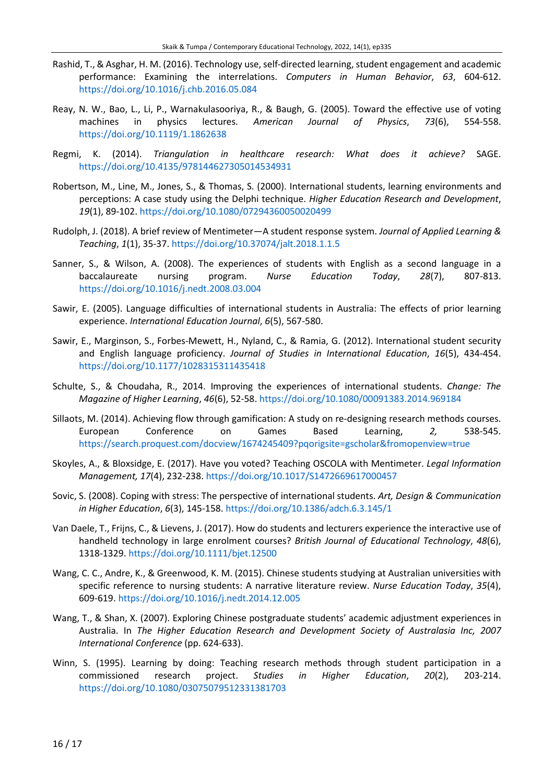- Rashid, T., & Asghar, H. M. (2016). Technology use, self-directed learning, student engagement and academic performance: Examining the interrelations. *Computers in Human Behavior*, *63*, 604-612. <https://doi.org/10.1016/j.chb.2016.05.084>
- Reay, N. W., Bao, L., Li, P., Warnakulasooriya, R., & Baugh, G. (2005). Toward the effective use of voting machines in physics lectures. *American Journal of Physics*, *73*(6), 554-558. <https://doi.org/10.1119/1.1862638>
- Regmi, K. (2014). *Triangulation in healthcare research: What does it achieve?* SAGE. <https://doi.org/10.4135/978144627305014534931>
- Robertson, M., Line, M., Jones, S., & Thomas, S. (2000). International students, learning environments and perceptions: A case study using the Delphi technique. *Higher Education Research and Development*, *19*(1), 89-102. <https://doi.org/10.1080/07294360050020499>
- Rudolph, J. (2018). A brief review of Mentimeter—A student response system. *Journal of Applied Learning & Teaching*, *1*(1), 35-37. <https://doi.org/10.37074/jalt.2018.1.1.5>
- Sanner, S., & Wilson, A. (2008). The experiences of students with English as a second language in a baccalaureate nursing program. *Nurse Education Today*, *28*(7), 807-813. <https://doi.org/10.1016/j.nedt.2008.03.004>
- Sawir, E. (2005). Language difficulties of international students in Australia: The effects of prior learning experience. *International Education Journal*, *6*(5), 567-580.
- Sawir, E., Marginson, S., Forbes-Mewett, H., Nyland, C., & Ramia, G. (2012). International student security and English language proficiency. *Journal of Studies in International Education*, *16*(5), 434-454. <https://doi.org/10.1177/1028315311435418>
- Schulte, S., & Choudaha, R., 2014. Improving the experiences of international students. *Change: The Magazine of Higher Learning*, *46*(6), 52-58. <https://doi.org/10.1080/00091383.2014.969184>
- Sillaots, M. (2014). Achieving flow through gamification: A study on re-designing research methods courses. European Conference on Games Based Learning, *2,* 538-545. <https://search.proquest.com/docview/1674245409?pqorigsite=gscholar&fromopenview=true>
- Skoyles, A., & Bloxsidge, E. (2017). Have you voted? Teaching OSCOLA with Mentimeter. *Legal Information Management, 17*(4), 232-238. <https://doi.org/10.1017/S1472669617000457>
- Sovic, S. (2008). Coping with stress: The perspective of international students. *Art, Design & Communication in Higher Education*, *6*(3), 145-158. <https://doi.org/10.1386/adch.6.3.145/1>
- Van Daele, T., Frijns, C., & Lievens, J. (2017). How do students and lecturers experience the interactive use of handheld technology in large enrolment courses? *British Journal of Educational Technology*, *48*(6), 1318-1329. <https://doi.org/10.1111/bjet.12500>
- Wang, C. C., Andre, K., & Greenwood, K. M. (2015). Chinese students studying at Australian universities with specific reference to nursing students: A narrative literature review. *Nurse Education Today*, *35*(4), 609-619. <https://doi.org/10.1016/j.nedt.2014.12.005>
- Wang, T., & Shan, X. (2007). Exploring Chinese postgraduate students' academic adjustment experiences in Australia. In *The Higher Education Research and Development Society of Australasia Inc, 2007 International Conference* (pp. 624-633).
- Winn, S. (1995). Learning by doing: Teaching research methods through student participation in a commissioned research project. *Studies in Higher Education*, *20*(2), 203-214. <https://doi.org/10.1080/03075079512331381703>